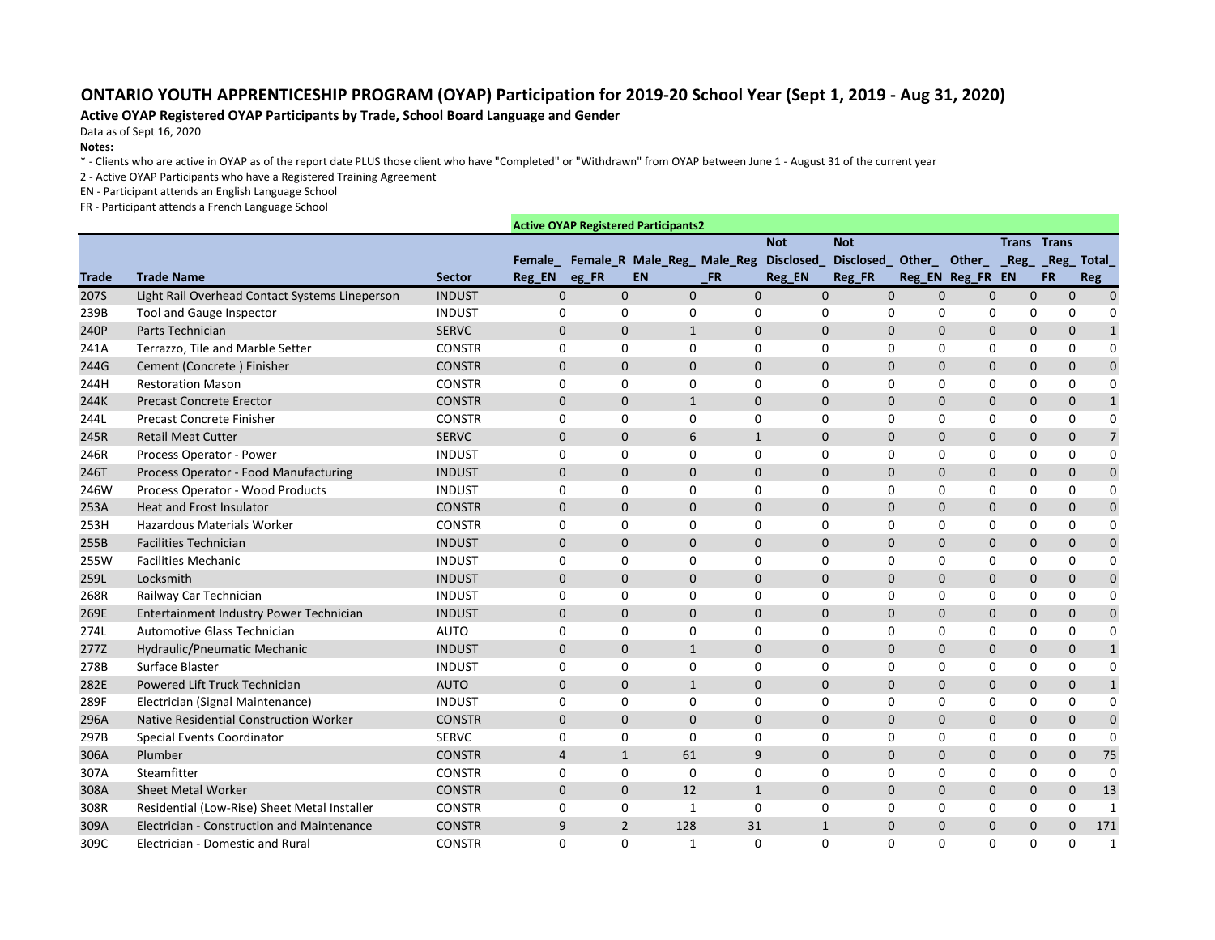## **ONTARIO YOUTH APPRENTICESHIP PROGRAM (OYAP) Participation for 2019-20 School Year (Sept 1, 2019 - Aug 31, 2020)**

## **Active OYAP Registered OYAP Participants by Trade, School Board Language and Gender**

Data as of Sept 16, 2020

## **Notes:**

\* - Clients who are active in OYAP as of the report date PLUS those client who have "Completed" or "Withdrawn" from OYAP between June 1 - August 31 of the current year

2 - Active OYAP Participants who have a Registered Training Agreement

EN - Participant attends an English Language School

FR - Participant attends a French Language School

|              |                                                |               |                | <b>Active OYAP Registered Participants2</b> |              |                  |                                     |                |                            |              |                    |                                |
|--------------|------------------------------------------------|---------------|----------------|---------------------------------------------|--------------|------------------|-------------------------------------|----------------|----------------------------|--------------|--------------------|--------------------------------|
|              |                                                |               |                |                                             |              | <b>Not</b>       | <b>Not</b>                          |                |                            |              | <b>Trans Trans</b> |                                |
|              |                                                |               |                | Female_ Female_R Male_Reg_ Male_Reg         |              | <b>Disclosed</b> | Disclosed Other Other Reg Reg Total |                |                            |              |                    |                                |
| <b>Trade</b> | <b>Trade Name</b>                              | <b>Sector</b> | Reg_EN eg_FR   | <b>EN</b>                                   | <b>FR</b>    | Reg_EN           | Reg_FR                              |                | Reg_EN Reg_FR EN           |              | <b>FR</b>          | Reg                            |
| 207S         | Light Rail Overhead Contact Systems Lineperson | <b>INDUST</b> | $\overline{0}$ | $\mathbf 0$                                 | $\mathbf 0$  | $\overline{0}$   | $\mathbf 0$                         | $\mathbf 0$    | $\mathbf 0$<br>$\mathbf 0$ | $\mathbf 0$  |                    | $\mathbf{0}$<br>$\overline{0}$ |
| 239B         | <b>Tool and Gauge Inspector</b>                | <b>INDUST</b> | 0              | 0                                           | $\mathbf 0$  | 0                | 0                                   | 0              | 0<br>0                     | 0            |                    | 0<br>$\Omega$                  |
| 240P         | Parts Technician                               | <b>SERVC</b>  | $\Omega$       | $\Omega$                                    | $\mathbf{1}$ | $\overline{0}$   | $\Omega$                            | $\mathbf 0$    | 0<br>$\Omega$              | $\pmb{0}$    |                    | $\mathbf 0$<br>$\mathbf{1}$    |
| 241A         | Terrazzo, Tile and Marble Setter               | <b>CONSTR</b> | 0              | 0                                           | $\mathbf 0$  | $\Omega$         | 0                                   | $\mathbf 0$    | 0<br>$\mathbf{0}$          | $\mathbf 0$  |                    | 0<br>$\mathbf{0}$              |
| 244G         | Cement (Concrete) Finisher                     | <b>CONSTR</b> | $\Omega$       | $\mathbf 0$                                 | $\mathbf 0$  | $\mathbf 0$      | $\Omega$                            | $\mathbf 0$    | 0<br>$\mathbf{0}$          | $\mathbf{0}$ |                    | $\mathbf 0$<br>$\mathbf 0$     |
| 244H         | <b>Restoration Mason</b>                       | <b>CONSTR</b> | 0              | 0                                           | $\mathbf 0$  | 0                | 0                                   | 0              | 0<br>$\Omega$              | $\mathbf 0$  |                    | 0<br>$\mathbf 0$               |
| 244K         | <b>Precast Concrete Erector</b>                | <b>CONSTR</b> | $\overline{0}$ | $\mathbf 0$                                 | $\mathbf{1}$ | $\mathbf 0$      | $\mathbf 0$                         | $\mathbf{0}$   | 0<br>$\mathbf 0$           | $\mathbf 0$  |                    | $\mathbf{0}$<br>$\mathbf{1}$   |
| 244L         | Precast Concrete Finisher                      | <b>CONSTR</b> | 0              | 0                                           | $\pmb{0}$    | $\mathbf 0$      | $\mathbf 0$                         | 0              | 0<br>0                     | 0            |                    | 0<br>$\mathbf 0$               |
| 245R         | <b>Retail Meat Cutter</b>                      | <b>SERVC</b>  | $\mathbf{0}$   | $\mathbf{0}$                                | 6            | $\mathbf{1}$     | $\mathbf 0$                         | $\mathbf{0}$   | 0<br>$\Omega$              | $\mathbf 0$  |                    | $\overline{7}$<br>$\mathbf 0$  |
| 246R         | Process Operator - Power                       | <b>INDUST</b> | 0              | 0                                           | $\mathbf 0$  | 0                | 0                                   | 0              | 0<br>0                     | 0            | 0                  | $\mathbf{0}$                   |
| 246T         | Process Operator - Food Manufacturing          | <b>INDUST</b> | $\mathbf{0}$   | $\mathbf 0$                                 | $\pmb{0}$    | $\mathbf 0$      | $\mathbf 0$                         | $\mathbf 0$    | 0<br>$\mathbf 0$           | $\pmb{0}$    |                    | $\mathbf 0$<br>$\mathbf 0$     |
| 246W         | Process Operator - Wood Products               | <b>INDUST</b> | 0              | 0                                           | $\mathbf 0$  | $\mathbf 0$      | $\mathbf 0$                         | 0              | 0<br>0                     | $\mathbf 0$  |                    | 0<br>$\mathbf 0$               |
| 253A         | <b>Heat and Frost Insulator</b>                | <b>CONSTR</b> | $\overline{0}$ | $\mathbf 0$                                 | $\mathbf 0$  | 0                | $\mathbf 0$                         | $\mathbf 0$    | 0<br>$\mathbf 0$           | $\pmb{0}$    |                    | $\mathbf 0$<br>$\mathbf 0$     |
| 253H         | <b>Hazardous Materials Worker</b>              | <b>CONSTR</b> | 0              | 0                                           | $\mathsf 0$  | 0                | $\mathbf 0$                         | $\mathbf 0$    | 0<br>0                     | $\mathbf 0$  |                    | 0<br>$\mathbf 0$               |
| 255B         | <b>Facilities Technician</b>                   | <b>INDUST</b> | $\Omega$       | $\Omega$                                    | $\mathbf 0$  | $\mathbf 0$      | $\Omega$                            | $\mathbf 0$    | 0<br>$\Omega$              | $\pmb{0}$    |                    | $\mathbf 0$<br>$\mathbf 0$     |
| 255W         | <b>Facilities Mechanic</b>                     | <b>INDUST</b> | $\Omega$       | 0                                           | $\mathbf 0$  | $\mathbf{0}$     | $\mathbf 0$                         | 0              | 0<br>$\Omega$              | 0            |                    | 0<br>$\mathbf{0}$              |
| 259L         | Locksmith                                      | <b>INDUST</b> | $\Omega$       | $\mathbf{0}$                                | $\mathbf 0$  | $\mathbf 0$      | $\mathbf 0$                         | $\mathbf 0$    | 0<br>$\Omega$              | $\mathbf 0$  |                    | $\mathbf 0$<br>$\mathbf 0$     |
| 268R         | Railway Car Technician                         | <b>INDUST</b> | 0              | 0                                           | $\pmb{0}$    | 0                | $\mathbf 0$                         | 0              | 0<br>$\mathbf 0$           | 0            |                    | 0<br>$\mathbf 0$               |
| 269E         | Entertainment Industry Power Technician        | <b>INDUST</b> | $\mathbf 0$    | $\overline{0}$                              | $\mathbf 0$  | $\mathbf 0$      | $\mathbf 0$                         | $\mathbf{0}$   | 0<br>$\mathbf 0$           | $\mathbf 0$  |                    | $\mathbf 0$<br>$\mathbf 0$     |
| 274L         | Automotive Glass Technician                    | <b>AUTO</b>   | 0              | 0                                           | $\pmb{0}$    | 0                | $\mathbf 0$                         | 0              | 0<br>0                     | $\mathbf 0$  | 0                  | $\mathbf{0}$                   |
| 277Z         | Hydraulic/Pneumatic Mechanic                   | <b>INDUST</b> | $\overline{0}$ | $\Omega$                                    | $\mathbf{1}$ | $\mathbf{0}$     | $\mathbf 0$                         | $\mathbf 0$    | 0<br>$\pmb{0}$             | $\pmb{0}$    |                    | $\mathbf{1}$<br>$\mathbf 0$    |
| 278B         | Surface Blaster                                | <b>INDUST</b> | 0              | 0                                           | $\mathbf 0$  | 0                | 0                                   | 0              | 0<br>$\mathbf{0}$          | 0            |                    | 0<br>$\mathbf{0}$              |
| 282E         | Powered Lift Truck Technician                  | <b>AUTO</b>   | $\mathbf{0}$   | $\mathbf 0$                                 | $\mathbf{1}$ | $\mathbf 0$      | $\mathbf 0$                         | $\mathbf 0$    | 0<br>$\mathbf{0}$          | $\mathbf{0}$ |                    | $\mathbf 0$<br>$\mathbf{1}$    |
| 289F         | Electrician (Signal Maintenance)               | <b>INDUST</b> | 0              | $\mathbf 0$                                 | $\mathsf 0$  | $\mathbf 0$      | 0                                   | $\mathbf 0$    | 0<br>$\mathbf 0$           | $\mathbf 0$  |                    | 0<br>$\mathbf 0$               |
| 296A         | Native Residential Construction Worker         | <b>CONSTR</b> | $\Omega$       | $\mathbf 0$                                 | $\mathbf 0$  | $\mathbf 0$      | $\mathbf 0$                         | $\mathbf{0}$   | 0<br>$\mathbf 0$           | $\mathbf 0$  |                    | $\mathbf 0$<br>$\mathbf 0$     |
| 297B         | <b>Special Events Coordinator</b>              | <b>SERVC</b>  | 0              | 0                                           | $\mathbf 0$  | 0                | 0                                   | 0              | 0<br>0                     | 0            |                    | 0<br>$\mathbf 0$               |
| 306A         | Plumber                                        | <b>CONSTR</b> | $\overline{4}$ | $\mathbf{1}$                                | 61           | 9                | $\mathbf 0$                         | $\overline{0}$ | 0<br>$\mathbf 0$           | $\mathbf 0$  |                    | 75<br>$\mathbf 0$              |
| 307A         | Steamfitter                                    | <b>CONSTR</b> | 0              | $\Omega$                                    | $\mathbf 0$  | $\Omega$         | $\Omega$                            | 0              | 0<br>$\Omega$              | 0            |                    | $\mathbf 0$<br>0               |
| 308A         | <b>Sheet Metal Worker</b>                      | <b>CONSTR</b> | $\overline{0}$ | $\mathbf 0$                                 | 12           | $\mathbf{1}$     | $\overline{0}$                      | $\mathbf 0$    | 0<br>$\Omega$              | $\mathbf 0$  | $\mathbf 0$        | 13                             |
| 308R         | Residential (Low-Rise) Sheet Metal Installer   | <b>CONSTR</b> | 0              | 0                                           | 1            | 0                | 0                                   | 0              | 0<br>0                     | 0            | 0                  | 1                              |
| 309A         | Electrician - Construction and Maintenance     | <b>CONSTR</b> | 9              | $\overline{2}$<br>128                       |              | 31               | $\mathbf{1}$                        | $\mathbf 0$    | 0<br>$\mathbf 0$           | $\mathbf 0$  |                    | 171<br>0                       |
| 309C         | Electrician - Domestic and Rural               | <b>CONSTR</b> | 0              | $\Omega$                                    | $\mathbf{1}$ | $\Omega$         | $\Omega$                            | $\Omega$       | 0<br>$\Omega$              | 0            | $\mathbf{0}$       | $\overline{\mathbf{1}}$        |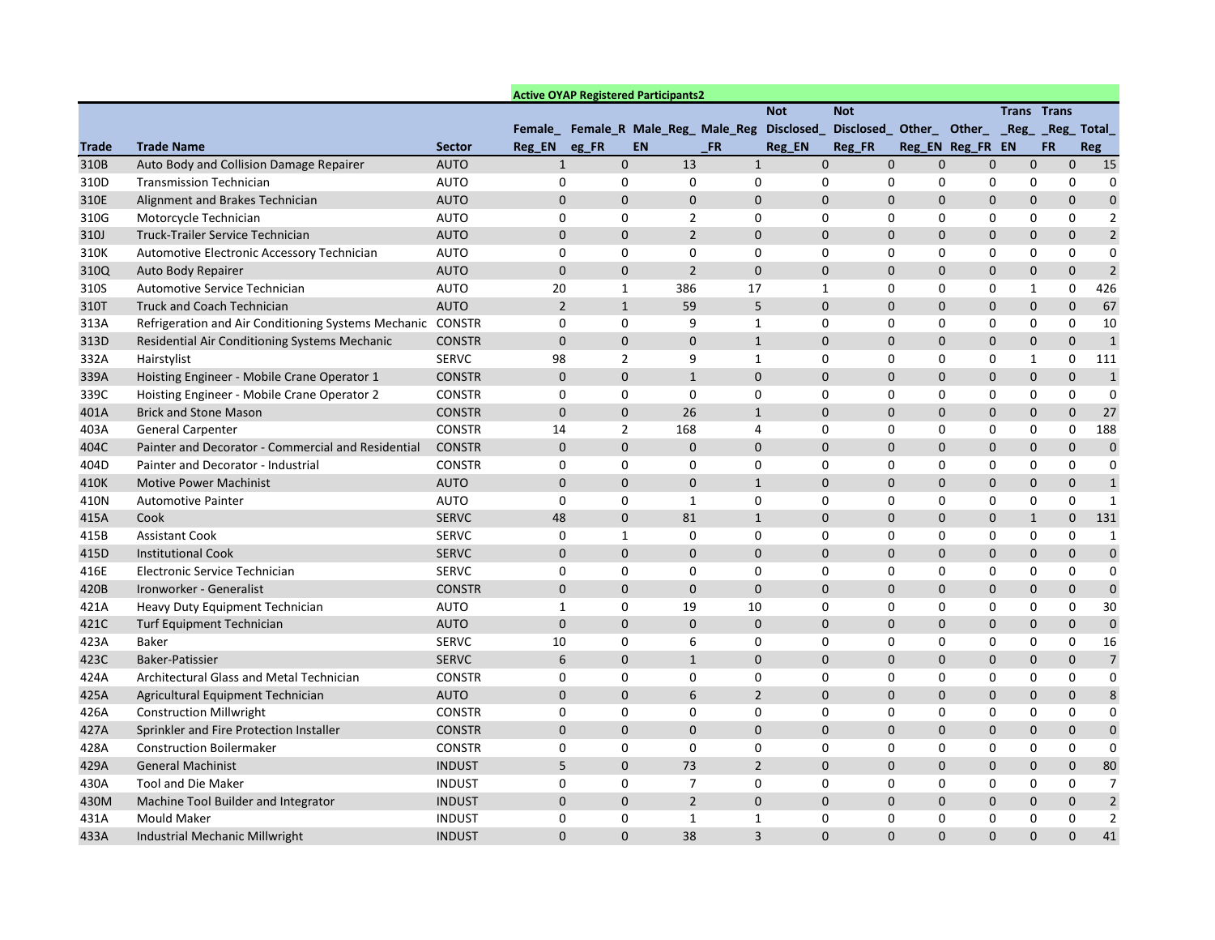|              |                                                     |               |                | <b>Active OYAP Registered Participants2</b> |                  |                |                                     |                |                  |              |                                           |                    |              |                |
|--------------|-----------------------------------------------------|---------------|----------------|---------------------------------------------|------------------|----------------|-------------------------------------|----------------|------------------|--------------|-------------------------------------------|--------------------|--------------|----------------|
|              |                                                     |               |                |                                             |                  |                |                                     | <b>Not</b>     | <b>Not</b>       |              |                                           | <b>Trans Trans</b> |              |                |
|              |                                                     |               |                |                                             |                  |                | Female_ Female_R Male_Reg_ Male_Reg | Disclosed_     |                  |              | Disclosed Other Other __ Reg __ Reg Total |                    |              |                |
| <b>Trade</b> | <b>Trade Name</b>                                   | <b>Sector</b> | Reg_EN         | eg_FR                                       | <b>EN</b>        |                | $\_FR$                              | Reg_EN         | Reg_FR           |              | Reg_EN Reg_FR EN                          |                    | <b>FR</b>    | Reg            |
| 310B         | Auto Body and Collision Damage Repairer             | <b>AUTO</b>   | 1              |                                             | $\mathbf 0$      | 13             |                                     | $\mathbf{1}$   | $\mathbf 0$      | $\mathbf 0$  | $\mathbf 0$<br>$\mathbf 0$                | $\mathbf 0$        | $\mathbf{0}$ | 15             |
| 310D         | <b>Transmission Technician</b>                      | <b>AUTO</b>   | 0              |                                             | 0                | 0              |                                     | 0              | 0                | 0            | 0<br>0                                    | 0                  | 0            | 0              |
| 310E         | Alignment and Brakes Technician                     | <b>AUTO</b>   | $\Omega$       |                                             | $\mathbf 0$      | $\mathbf 0$    |                                     | $\mathbf 0$    | $\Omega$         | $\mathsf{O}$ | 0<br>0                                    | 0                  | $\mathbf 0$  | $\pmb{0}$      |
| 310G         | Motorcycle Technician                               | <b>AUTO</b>   | 0              |                                             | 0                | 2              |                                     | 0              | 0                | 0            | 0<br>0                                    | 0                  | 0            | $\overline{2}$ |
| 310J         | Truck-Trailer Service Technician                    | <b>AUTO</b>   | $\mathbf{0}$   |                                             | 0                | $\overline{2}$ |                                     | 0              | 0                | 0            | 0<br>0                                    | $\mathbf 0$        | $\mathbf 0$  | $\overline{2}$ |
| 310K         | Automotive Electronic Accessory Technician          | <b>AUTO</b>   | 0              |                                             | 0                | 0              |                                     | 0              | $\Omega$         | 0            | 0<br>0                                    | 0                  | 0            | $\Omega$       |
| 310Q         | Auto Body Repairer                                  | <b>AUTO</b>   | $\mathbf{0}$   |                                             | 0                | $\overline{2}$ |                                     | $\mathbf 0$    | 0                | 0            | 0<br>0                                    | $\mathbf 0$        | $\mathbf 0$  | $\overline{2}$ |
| 310S         | Automotive Service Technician                       | <b>AUTO</b>   | 20             |                                             | $\mathbf{1}$     | 386            | 17                                  |                | $\mathbf{1}$     | 0            | 0<br>0                                    | 1                  | 0            | 426            |
| 310T         | <b>Truck and Coach Technician</b>                   | <b>AUTO</b>   | $\overline{2}$ |                                             | $\mathbf{1}$     | 59             |                                     | 5              | 0                | 0            | 0<br>0                                    | 0                  | 0            | 67             |
| 313A         | Refrigeration and Air Conditioning Systems Mechanic | <b>CONSTR</b> | 0              |                                             | 0                | 9              |                                     | 1              | 0                | 0            | 0<br>0                                    | 0                  | 0            | 10             |
| 313D         | Residential Air Conditioning Systems Mechanic       | <b>CONSTR</b> | $\mathbf 0$    |                                             | $\mathbf 0$      | $\mathbf 0$    |                                     | $\mathbf{1}$   | 0                | 0            | 0<br>$\mathbf{0}$                         | 0                  | 0            | $\mathbf{1}$   |
| 332A         | Hairstylist                                         | <b>SERVC</b>  | 98             |                                             | $\overline{2}$   | 9              |                                     | $\mathbf{1}$   | 0                | 0            | 0<br>0                                    | 1                  | 0            | 111            |
| 339A         | Hoisting Engineer - Mobile Crane Operator 1         | <b>CONSTR</b> | $\mathbf 0$    |                                             | $\mathbf 0$      | $\mathbf{1}$   |                                     | $\mathbf 0$    | $\Omega$         | $\mathsf{O}$ | 0<br>0                                    | 0                  | $\pmb{0}$    | $\mathbf{1}$   |
| 339C         | Hoisting Engineer - Mobile Crane Operator 2         | <b>CONSTR</b> | 0              |                                             | 0                | 0              |                                     | 0              | 0                | 0            | 0<br>0                                    | 0                  | 0            | 0              |
| 401A         | <b>Brick and Stone Mason</b>                        | <b>CONSTR</b> | $\mathbf{0}$   |                                             | $\mathbf 0$      | 26             |                                     | $\mathbf{1}$   | 0                | 0            | 0<br>0                                    | $\mathbf 0$        | $\mathbf 0$  | 27             |
| 403A         | <b>General Carpenter</b>                            | <b>CONSTR</b> | 14             |                                             | $\overline{2}$   | 168            |                                     | 4              | $\Omega$         | 0            | 0<br>0                                    | 0                  | 0            | 188            |
| 404C         | Painter and Decorator - Commercial and Residential  | <b>CONSTR</b> | $\mathbf{0}$   |                                             | $\mathbf{0}$     | $\mathbf 0$    |                                     | 0              | 0                | 0            | 0<br>0                                    | $\mathbf 0$        | 0            | $\pmb{0}$      |
| 404D         | Painter and Decorator - Industrial                  | <b>CONSTR</b> | 0              |                                             | 0                | 0              |                                     | 0              | 0                | 0            | 0<br>0                                    | 0                  | 0            | 0              |
| 410K         | <b>Motive Power Machinist</b>                       | <b>AUTO</b>   | $\mathbf{0}$   |                                             | 0                | $\mathbf 0$    |                                     | $\mathbf{1}$   | 0                | $\mathsf{O}$ | 0<br>0                                    | 0                  | $\mathbf 0$  | $\mathbf{1}$   |
| 410N         | <b>Automotive Painter</b>                           | <b>AUTO</b>   | 0              |                                             | 0                | 1              |                                     | 0              | 0                | 0            | 0<br>0                                    | 0                  | 0            | -1             |
| 415A         | Cook                                                | <b>SERVC</b>  | 48             |                                             | $\mathbf{0}$     | 81             |                                     | $\mathbf{1}$   | 0                | 0            | 0<br>$\mathbf{0}$                         | $\mathbf{1}$       | 0            | 131            |
| 415B         | <b>Assistant Cook</b>                               | <b>SERVC</b>  | 0              |                                             | $\mathbf{1}$     | 0              |                                     | 0              | 0                | 0            | 0<br>0                                    | 0                  | 0            | $\mathbf{1}$   |
| 415D         | <b>Institutional Cook</b>                           | <b>SERVC</b>  | $\mathbf 0$    |                                             | $\mathbf 0$      | $\mathbf 0$    |                                     | $\mathbf 0$    | $\Omega$         | $\mathsf{O}$ | 0<br>0                                    | 0                  | $\mathbf 0$  | $\mathbf 0$    |
| 416E         | Electronic Service Technician                       | <b>SERVC</b>  | 0              |                                             | 0                | 0              |                                     | 0              | 0                | 0            | 0<br>0                                    | 0                  | 0            | 0              |
| 420B         | Ironworker - Generalist                             | <b>CONSTR</b> | $\mathbf{0}$   |                                             | 0                | $\mathbf 0$    |                                     | $\pmb{0}$      | 0                | 0            | 0<br>0                                    | 0                  | $\mathbf 0$  | $\mathbf 0$    |
| 421A         | Heavy Duty Equipment Technician                     | <b>AUTO</b>   | 1              |                                             | 0                | 19             | 10                                  |                | $\Omega$         | 0            | 0<br>0                                    | 0                  | 0            | 30             |
| 421C         | <b>Turf Equipment Technician</b>                    | <b>AUTO</b>   | 0              |                                             | $\mathbf{0}$     | $\mathbf 0$    |                                     | $\mathbf{0}$   | $\Omega$         | $\mathbf{0}$ | 0<br>$\mathbf 0$                          | 0                  | $\mathbf{0}$ | $\pmb{0}$      |
| 423A         | <b>Baker</b>                                        | <b>SERVC</b>  | 10             |                                             | 0                | 6              |                                     | 0              | 0                | 0            | 0<br>0                                    | 0                  | 0            | 16             |
| 423C         | Baker-Patissier                                     | <b>SERVC</b>  | 6              |                                             | $\mathbf 0$      | $\mathbf{1}$   |                                     | $\mathbf 0$    | $\boldsymbol{0}$ | 0            | 0<br>0                                    | 0                  | $\mathbf 0$  | $\overline{7}$ |
| 424A         | Architectural Glass and Metal Technician            | <b>CONSTR</b> | 0              |                                             | 0                | 0              |                                     | 0              | 0                | 0            | 0<br>0                                    | 0                  | 0            | 0              |
| 425A         | Agricultural Equipment Technician                   | <b>AUTO</b>   | $\mathbf 0$    |                                             | $\boldsymbol{0}$ | 6              |                                     | $2^{\circ}$    | $\boldsymbol{0}$ | $\mathbf{0}$ | 0<br>0                                    | $\mathbf 0$        | $\mathbf 0$  | $8\phantom{1}$ |
| 426A         | <b>Construction Millwright</b>                      | <b>CONSTR</b> | 0              |                                             | 0                | 0              |                                     | 0              | 0                | 0            | 0<br>0                                    | 0                  | 0            | $\mathbf{0}$   |
| 427A         | Sprinkler and Fire Protection Installer             | <b>CONSTR</b> | $\mathbf 0$    |                                             | $\mathbf 0$      | $\mathbf 0$    |                                     | $\mathbf{0}$   | $\mathbf 0$      | $\mathbf{0}$ | 0<br>0                                    | $\mathbf 0$        | $\mathbf 0$  | $\mathbf 0$    |
| 428A         | <b>Construction Boilermaker</b>                     | <b>CONSTR</b> | 0              |                                             | 0                | 0              |                                     | 0              | 0                | 0            | 0<br>0                                    | 0                  | 0            | 0              |
| 429A         | <b>General Machinist</b>                            | <b>INDUST</b> | 5              |                                             | $\mathbf 0$      | 73             |                                     | $\overline{2}$ | 0                | $\mathbf 0$  | 0<br>0                                    | $\mathbf 0$        | $\mathbf{0}$ | 80             |
| 430A         | <b>Tool and Die Maker</b>                           | <b>INDUST</b> | 0              |                                             | $\pmb{0}$        | $\overline{7}$ |                                     | 0              | 0                | 0            | 0<br>0                                    | 0                  | 0            | $\overline{7}$ |
| 430M         | Machine Tool Builder and Integrator                 | <b>INDUST</b> | $\mathbf 0$    |                                             | $\mathbf 0$      | $2^{\circ}$    |                                     | $\mathbf 0$    | 0                | $\mathbf{0}$ | 0<br>0                                    | $\mathbf 0$        | $\mathbf{0}$ | $\overline{2}$ |
| 431A         | <b>Mould Maker</b>                                  | <b>INDUST</b> | 0              |                                             | $\mathbf 0$      | $\mathbf{1}$   |                                     | $\mathbf{1}$   | 0                | 0            | 0<br>0                                    | 0                  | 0            | $\overline{2}$ |
| 433A         | Industrial Mechanic Millwright                      | <b>INDUST</b> | $\mathbf 0$    |                                             | $\mathbf 0$      | 38             |                                     | 3              | $\boldsymbol{0}$ | 0            | 0<br>0                                    | 0                  | $\mathbf 0$  | 41             |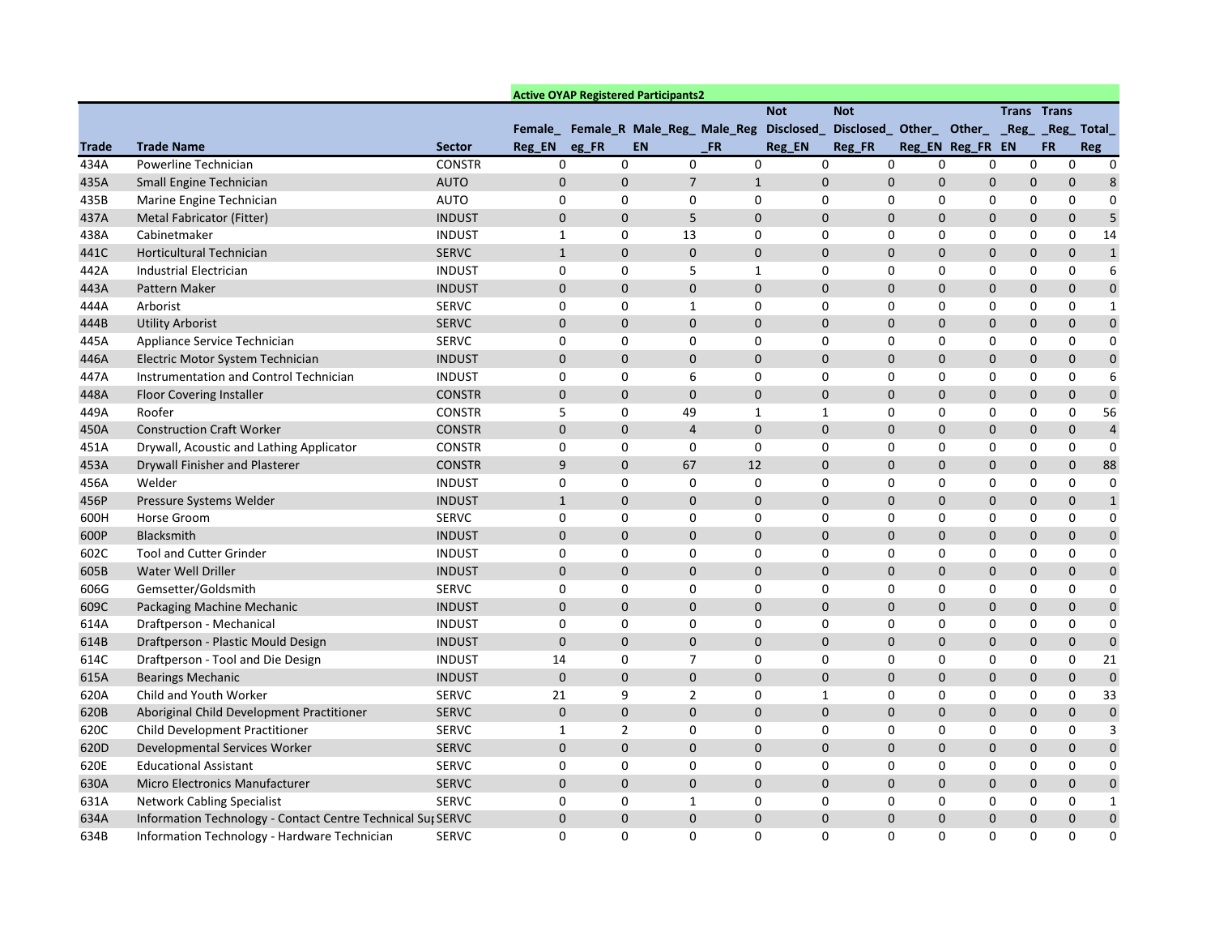|              |                                                             |               |              |       | <b>Active OYAP Registered Participants2</b> |                |               |             |            |                            |                                          |                    |                  |                             |
|--------------|-------------------------------------------------------------|---------------|--------------|-------|---------------------------------------------|----------------|---------------|-------------|------------|----------------------------|------------------------------------------|--------------------|------------------|-----------------------------|
|              |                                                             |               |              |       |                                             |                | <b>Not</b>    |             | <b>Not</b> |                            |                                          | <b>Trans Trans</b> |                  |                             |
|              |                                                             |               |              |       | Female_ Female_R Male_Reg_ Male_Reg         |                | Disclosed_    |             |            |                            | Disclosed Other_ Other_ _Reg_ Reg_ Total |                    |                  |                             |
| <b>Trade</b> | <b>Trade Name</b>                                           | <b>Sector</b> | Reg_EN       | eg_FR | <b>EN</b>                                   | <b>FR</b>      | <b>Reg_EN</b> |             | Reg_FR     |                            | Reg_EN Reg_FR EN                         |                    | <b>FR</b>        | Reg                         |
| 434A         | Powerline Technician                                        | <b>CONSTR</b> | $\mathbf{0}$ |       | 0                                           | 0              | $\Omega$      | 0           |            | $\mathbf 0$<br>0           | 0                                        | 0                  | 0                | $\mathbf{0}$                |
| 435A         | Small Engine Technician                                     | <b>AUTO</b>   | $\mathbf 0$  |       | $\mathbf 0$                                 | $\overline{7}$ | $\mathbf{1}$  | $\mathbf 0$ |            | 0<br>0                     | 0                                        | $\mathbf 0$        | 0                | 8                           |
| 435B         | Marine Engine Technician                                    | <b>AUTO</b>   | 0            |       | 0                                           | 0              | 0             | 0           |            | 0<br>0                     | 0                                        | 0                  | 0                | 0                           |
| 437A         | Metal Fabricator (Fitter)                                   | <b>INDUST</b> | $\mathbf 0$  |       | $\mathbf 0$                                 | 5              | $\mathbf 0$   | $\mathbf 0$ |            | $\mathbf 0$                | 0<br>0                                   | 0                  | $\boldsymbol{0}$ | 5                           |
| 438A         | Cabinetmaker                                                | <b>INDUST</b> | -1           |       | 0                                           | 13             | 0             | 0           |            | 0<br>0                     | 0                                        | 0                  | 0                | 14                          |
| 441C         | Horticultural Technician                                    | <b>SERVC</b>  | 1            |       | $\mathbf 0$                                 | 0              | $\mathbf 0$   | 0           |            | $\mathbf 0$                | 0<br>0                                   | 0                  | 0                | $\mathbf{1}$                |
| 442A         | <b>Industrial Electrician</b>                               | <b>INDUST</b> | $\mathbf{0}$ |       | 0                                           | 5              | 1             | 0           |            | 0<br>0                     | 0                                        | 0                  | 0                | 6                           |
| 443A         | Pattern Maker                                               | <b>INDUST</b> | $\mathbf 0$  |       | $\mathbf 0$                                 | 0              | $\mathbf 0$   | $\Omega$    |            | $\mathbf 0$                | 0<br>$\pmb{0}$                           | 0                  | $\pmb{0}$        | $\pmb{0}$                   |
| 444A         | Arborist                                                    | <b>SERVC</b>  | $\Omega$     |       | 0                                           | $\mathbf{1}$   | 0             | 0           |            | 0<br>0                     | 0                                        | 0                  | 0                | $\mathbf{1}$                |
| 444B         | <b>Utility Arborist</b>                                     | <b>SERVC</b>  | $\mathbf{0}$ |       | $\mathbf{0}$                                | 0              | $\mathbf 0$   | $\mathbf 0$ |            | 0                          | 0<br>0                                   | $\mathbf 0$        | $\mathbf 0$      | $\mathbf 0$                 |
| 445A         | Appliance Service Technician                                | <b>SERVC</b>  | 0            |       | 0                                           | 0              | 0             | 0           |            | 0<br>0                     | 0                                        | 0                  | 0                | 0                           |
| 446A         | Electric Motor System Technician                            | <b>INDUST</b> | $\mathbf 0$  |       | $\mathbf 0$                                 | 0              | $\mathbf 0$   | $\mathbf 0$ |            | 0<br>0                     | 0                                        | $\mathbf 0$        | $\mathbf 0$      | $\mathbf 0$                 |
| 447A         | Instrumentation and Control Technician                      | <b>INDUST</b> | 0            |       | 0                                           | 6              | 0             | 0           |            | 0                          | 0<br>0                                   | 0                  | 0                | 6                           |
| 448A         | <b>Floor Covering Installer</b>                             | <b>CONSTR</b> | $\mathbf 0$  |       | $\mathbf 0$                                 | $\pmb{0}$      | $\mathbf 0$   | $\mathbf 0$ |            | $\pmb{0}$                  | 0<br>$\mathbf 0$                         | $\mathbf 0$        | $\pmb{0}$        | $\pmb{0}$                   |
| 449A         | Roofer                                                      | <b>CONSTR</b> | 5            |       | 0                                           | 49             | 1             | 1           |            | 0<br>0                     | 0                                        | 0                  | 0                | 56                          |
| 450A         | <b>Construction Craft Worker</b>                            | <b>CONSTR</b> | $\mathbf{0}$ |       | $\mathbf 0$                                 | 4              | $\mathbf 0$   | 0           |            | $\mathbf 0$                | 0<br>0                                   | 0                  | 0                | $\overline{4}$              |
| 451A         | Drywall, Acoustic and Lathing Applicator                    | <b>CONSTR</b> | $\mathbf{0}$ |       | 0                                           | 0              | 0             | 0           |            | 0<br>0                     | 0                                        | 0                  | 0                | 0                           |
| 453A         | Drywall Finisher and Plasterer                              | <b>CONSTR</b> | 9            |       | $\mathbf 0$                                 | 67             | 12            | $\Omega$    |            | $\mathbf 0$                | 0<br>$\pmb{0}$                           | 0                  | $\pmb{0}$        | 88                          |
| 456A         | Welder                                                      | <b>INDUST</b> | 0            |       | 0                                           | 0              | 0             | 0           |            | 0<br>0                     | 0                                        | 0                  | 0                | $\mathbf{0}$                |
| 456P         | Pressure Systems Welder                                     | <b>INDUST</b> | 1            |       | $\mathbf{0}$                                | 0              | $\mathbf 0$   | $\mathbf 0$ |            | 0                          | 0<br>0                                   | $\mathbf 0$        | $\mathbf 0$      | $\mathbf{1}$                |
| 600H         | Horse Groom                                                 | <b>SERVC</b>  | 0            |       | 0                                           | 0              | 0             | 0           |            | 0<br>0                     | 0                                        | 0                  | 0                | 0                           |
| 600P         | Blacksmith                                                  | <b>INDUST</b> | $\mathbf 0$  |       | $\mathbf 0$                                 | 0              | $\mathbf 0$   | $\mathbf 0$ |            | 0<br>0                     | 0                                        | $\mathbf 0$        | $\mathbf 0$      | $\mathbf 0$                 |
| 602C         | <b>Tool and Cutter Grinder</b>                              | <b>INDUST</b> | 0            |       | 0                                           | 0              | 0             | 0           |            | 0                          | 0<br>0                                   | 0                  | 0                | 0                           |
| 605B         | Water Well Driller                                          | <b>INDUST</b> | $\mathbf{0}$ |       | $\mathbf 0$                                 | 0              | $\mathbf 0$   | $\mathbf 0$ |            | $\mathbf 0$                | 0<br>0                                   | 0                  | $\mathbf 0$      | $\boldsymbol{0}$            |
| 606G         | Gemsetter/Goldsmith                                         | <b>SERVC</b>  | $\mathbf{0}$ |       | 0                                           | 0              | 0             | 0           |            | 0<br>0                     | 0                                        | 0                  | 0                | 0                           |
| 609C         | Packaging Machine Mechanic                                  | <b>INDUST</b> | $\mathbf{0}$ |       | $\mathbf 0$                                 | 0              | $\mathbf 0$   | $\mathbf 0$ |            | $\pmb{0}$                  | 0<br>0                                   | 0                  | $\mathbf 0$      | $\mathbf 0$                 |
| 614A         | Draftperson - Mechanical                                    | <b>INDUST</b> | 0            |       | $\mathbf{0}$                                | 0              | 0             | $\Omega$    |            | 0<br>0                     | 0                                        | 0                  | 0                | 0                           |
| 614B         | Draftperson - Plastic Mould Design                          | <b>INDUST</b> | $\mathbf{0}$ |       | $\mathbf 0$                                 | 0              | $\mathbf 0$   | $\mathbf 0$ |            | $\mathbf 0$                | 0<br>0                                   | 0                  | $\mathbf 0$      | 0                           |
| 614C         | Draftperson - Tool and Die Design                           | <b>INDUST</b> | 14           |       | 0                                           | $\overline{7}$ | 0             | 0           |            | 0<br>0                     | 0                                        | 0                  | 0                | 21                          |
| 615A         | <b>Bearings Mechanic</b>                                    | <b>INDUST</b> | $\mathbf 0$  |       | $\mathbf 0$                                 | $\mathbf{0}$   | $\mathbf 0$   | $\mathbf 0$ |            | $\mathbf 0$<br>$\mathbf 0$ | 0                                        | $\mathbf 0$        | $\mathbf 0$      | $\mathbf 0$                 |
| 620A         | Child and Youth Worker                                      | <b>SERVC</b>  | 21           |       | 9                                           | $\overline{2}$ | 0             | 1           |            | 0                          | 0<br>0                                   | 0                  | 0                | 33                          |
| 620B         | Aboriginal Child Development Practitioner                   | <b>SERVC</b>  | $\mathbf 0$  |       | $\mathbf 0$                                 | $\mathbf{0}$   | $\mathbf 0$   | $\pmb{0}$   |            | $\mathbf 0$<br>$\mathbf 0$ | $\mathbf 0$                              | $\mathbf 0$        | $\mathbf{0}$     | $\pmb{0}$                   |
| 620C         | <b>Child Development Practitioner</b>                       | SERVC         | $\mathbf{1}$ |       | $\overline{2}$                              | 0              | 0             | $\pmb{0}$   |            | 0<br>0                     | 0                                        | 0                  | 0                | 3                           |
| 620D         | Developmental Services Worker                               | <b>SERVC</b>  | $\mathbf 0$  |       | $\pmb{0}$                                   | 0              | $\mathbf 0$   | 0           |            | $\mathbf 0$                | 0<br>0                                   | $\mathbf 0$        |                  | $\pmb{0}$<br>$\mathbf 0$    |
| 620E         | <b>Educational Assistant</b>                                | <b>SERVC</b>  | $\mathbf 0$  |       | 0                                           | 0              | $\mathbf 0$   | 0           |            | 0<br>0                     | 0                                        | 0                  | 0                | $\Omega$                    |
| 630A         | Micro Electronics Manufacturer                              | <b>SERVC</b>  | $\mathbf 0$  |       | $\mathbf 0$                                 | 0              | $\mathbf 0$   | $\pmb{0}$   |            | $\mathbf 0$                | 0<br>0                                   | 0                  |                  | $\mathbf 0$<br>$\mathbf{0}$ |
| 631A         | <b>Network Cabling Specialist</b>                           | <b>SERVC</b>  | 0            |       | 0                                           | $\mathbf{1}$   | $\mathbf 0$   | $\pmb{0}$   |            | 0<br>0                     | 0                                        | 0                  | 0                | 1                           |
| 634A         | Information Technology - Contact Centre Technical Sur SERVC |               | $\mathbf 0$  |       | $\pmb{0}$                                   | $\pmb{0}$      | $\mathbf 0$   | $\pmb{0}$   |            | $\pmb{0}$                  | 0<br>0                                   | 0                  |                  | $\mathbf 0$<br>$\mathbf 0$  |
| 634B         | Information Technology - Hardware Technician                | <b>SERVC</b>  | 0            |       | 0                                           | 0              | 0             | $\pmb{0}$   |            | 0                          | 0<br>0                                   | 0                  | 0                | 0                           |